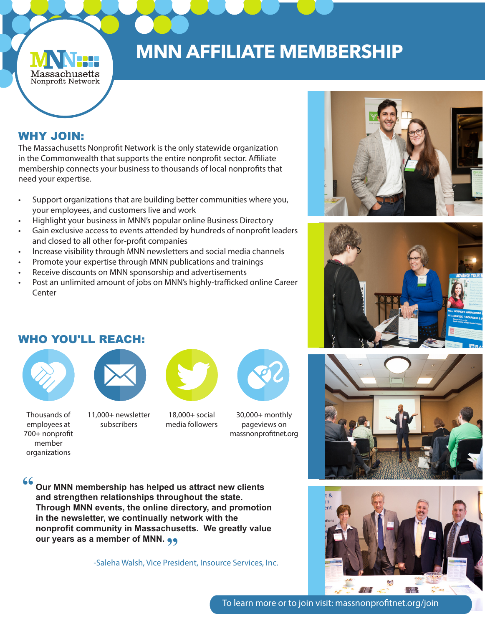## **MNN AFFILIATE MEMBERSHIP**

### WHY JOIN:

Massachusetts Nonprofit Network

The Massachusetts Nonprofit Network is the only statewide organization in the Commonwealth that supports the entire nonprofit sector. Affiliate membership connects your business to thousands of local nonprofits that need your expertise.

- Support organizations that are building better communities where you, your employees, and customers live and work
- Highlight your business in MNN's popular online Business Directory
- Gain exclusive access to events attended by hundreds of nonprofit leaders and closed to all other for-profit companies
- Increase visibility through MNN newsletters and social media channels
- Promote your expertise through MNN publications and trainings
- Receive discounts on MNN sponsorship and advertisements
- Post an unlimited amount of jobs on MNN's highly-trafficked online Career Center





#### WHO YOU'LL REACH:



member organizations



Thousands of employees at 700+ nonprofit subscribers

11,000+ newsletter



18,000+ social media followers





#### **"**

**Our MNN membership has helped us attract new clients and strengthen relationships throughout the state. Through MNN events, the online directory, and promotion in the newsletter, we continually network with the nonprofit community in Massachusetts. We greatly value**  nonprofit community in Massachus<br>our years as a member of MNN. <sub>99</sub>

-Saleha Walsh, Vice President, Insource Services, Inc.